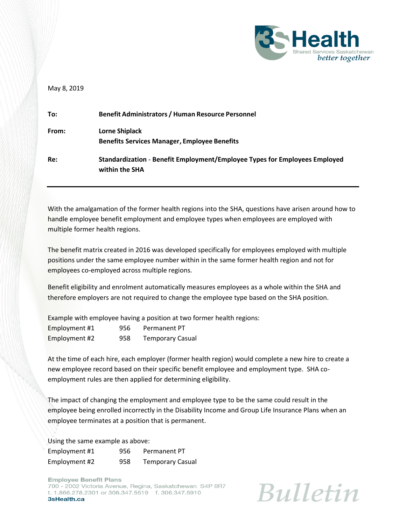

## May 8, 2019

| To:   | <b>Benefit Administrators / Human Resource Personnel</b>                                     |
|-------|----------------------------------------------------------------------------------------------|
| From: | Lorne Shiplack<br><b>Benefits Services Manager, Employee Benefits</b>                        |
| Re:   | Standardization - Benefit Employment/Employee Types for Employees Employed<br>within the SHA |

With the amalgamation of the former health regions into the SHA, questions have arisen around how to handle employee benefit employment and employee types when employees are employed with multiple former health regions.

The benefit matrix created in 2016 was developed specifically for employees employed with multiple positions under the same employee number within in the same former health region and not for employees co-employed across multiple regions.

Benefit eligibility and enrolment automatically measures employees as a whole within the SHA and therefore employers are not required to change the employee type based on the SHA position.

Example with employee having a position at two former health regions:

| Employment #1 | 956 | Permanent PT            |
|---------------|-----|-------------------------|
| Employment #2 | 958 | <b>Temporary Casual</b> |

At the time of each hire, each employer (former health region) would complete a new hire to create a new employee record based on their specific benefit employee and employment type. SHA coemployment rules are then applied for determining eligibility.

The impact of changing the employment and employee type to be the same could result in the employee being enrolled incorrectly in the Disability Income and Group Life Insurance Plans when an employee terminates at a position that is permanent.

Using the same example as above:

| Employment #1 | 956 | Permanent PT            |
|---------------|-----|-------------------------|
| Employment #2 | 958 | <b>Temporary Casual</b> |